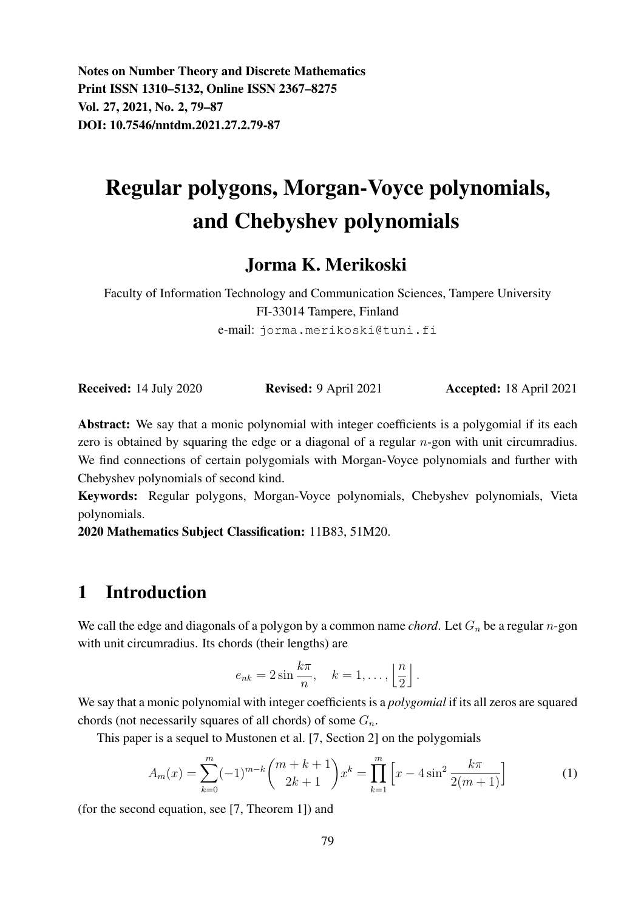Notes on Number Theory and Discrete Mathematics Print ISSN 1310–5132, Online ISSN 2367–8275 Vol. 27, 2021, No. 2, 79–87 DOI: 10.7546/nntdm.2021.27.2.79-87

# Regular polygons, Morgan-Voyce polynomials, and Chebyshev polynomials

### Jorma K. Merikoski

Faculty of Information Technology and Communication Sciences, Tampere University FI-33014 Tampere, Finland e-mail: jorma.merikoski@tuni.fi

Received: 14 July 2020 Revised: 9 April 2021 Accepted: 18 April 2021

Abstract: We say that a monic polynomial with integer coefficients is a polygomial if its each zero is obtained by squaring the edge or a diagonal of a regular *n*-gon with unit circumradius. We find connections of certain polygomials with Morgan-Voyce polynomials and further with Chebyshev polynomials of second kind.

Keywords: Regular polygons, Morgan-Voyce polynomials, Chebyshev polynomials, Vieta polynomials.

2020 Mathematics Subject Classification: 11B83, 51M20.

### 1 Introduction

We call the edge and diagonals of a polygon by a common name *chord*. Let  $G_n$  be a regular *n*-gon with unit circumradius. Its chords (their lengths) are

$$
e_{nk} = 2\sin\frac{k\pi}{n}, \quad k = 1, \dots, \left\lfloor \frac{n}{2} \right\rfloor.
$$

We say that a monic polynomial with integer coefficients is a *polygomial* if its all zeros are squared chords (not necessarily squares of all chords) of some  $G_n$ .

This paper is a sequel to Mustonen et al. [7, Section 2] on the polygomials

$$
A_m(x) = \sum_{k=0}^{m} (-1)^{m-k} \binom{m+k+1}{2k+1} x^k = \prod_{k=1}^{m} \left[ x - 4\sin^2 \frac{k\pi}{2(m+1)} \right]
$$
(1)

(for the second equation, see [7, Theorem 1]) and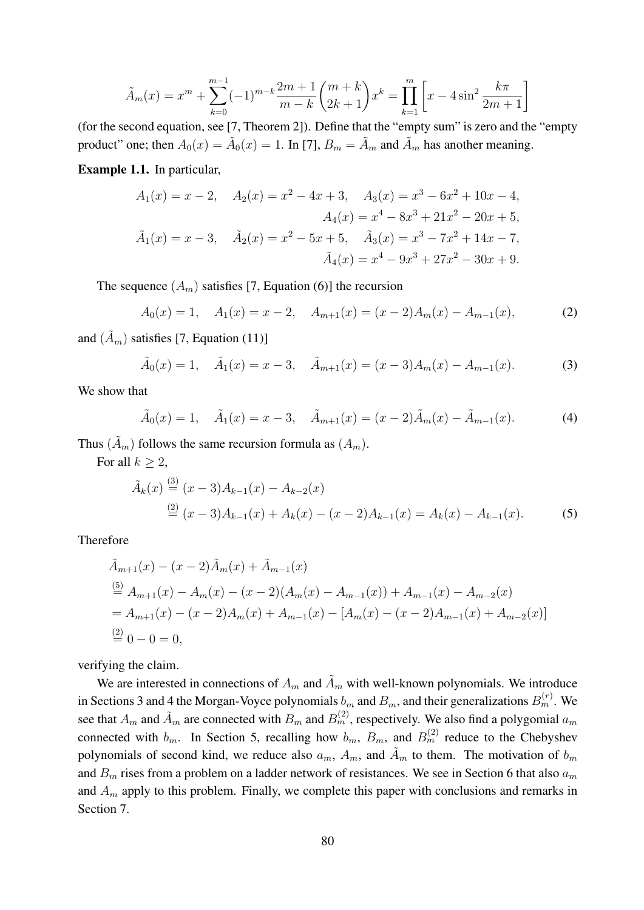$$
\tilde{A}_m(x) = x^m + \sum_{k=0}^{m-1} (-1)^{m-k} \frac{2m+1}{m-k} {m+k \choose 2k+1} x^k = \prod_{k=1}^m \left[ x - 4\sin^2 \frac{k\pi}{2m+1} \right]
$$

(for the second equation, see [7, Theorem 2]). Define that the "empty sum" is zero and the "empty product" one; then  $A_0(x) = \tilde{A}_0(x) = 1$ . In [7],  $B_m = \tilde{A}_m$  and  $\tilde{A}_m$  has another meaning.

Example 1.1. In particular,

$$
A_1(x) = x - 2, \quad A_2(x) = x^2 - 4x + 3, \quad A_3(x) = x^3 - 6x^2 + 10x - 4,
$$
  

$$
A_4(x) = x^4 - 8x^3 + 21x^2 - 20x + 5,
$$
  

$$
\tilde{A}_1(x) = x - 3, \quad \tilde{A}_2(x) = x^2 - 5x + 5, \quad \tilde{A}_3(x) = x^3 - 7x^2 + 14x - 7,
$$
  

$$
\tilde{A}_4(x) = x^4 - 9x^3 + 27x^2 - 30x + 9.
$$

The sequence  $(A_m)$  satisfies [7, Equation (6)] the recursion

$$
A_0(x) = 1, \quad A_1(x) = x - 2, \quad A_{m+1}(x) = (x - 2)A_m(x) - A_{m-1}(x), \tag{2}
$$

and  $(\tilde{A}_m)$  satisfies [7, Equation (11)]

$$
\tilde{A}_0(x) = 1
$$
,  $\tilde{A}_1(x) = x - 3$ ,  $\tilde{A}_{m+1}(x) = (x - 3)A_m(x) - A_{m-1}(x)$ . (3)

We show that

$$
\tilde{A}_0(x) = 1
$$
,  $\tilde{A}_1(x) = x - 3$ ,  $\tilde{A}_{m+1}(x) = (x - 2)\tilde{A}_m(x) - \tilde{A}_{m-1}(x)$ . (4)

Thus  $(\tilde{A}_m)$  follows the same recursion formula as  $(A_m)$ .

For all  $k \geq 2$ ,

$$
\tilde{A}_k(x) \stackrel{(3)}{=} (x-3)A_{k-1}(x) - A_{k-2}(x)
$$
\n
$$
\stackrel{(2)}{=} (x-3)A_{k-1}(x) + A_k(x) - (x-2)A_{k-1}(x) = A_k(x) - A_{k-1}(x). \tag{5}
$$

Therefore

$$
\tilde{A}_{m+1}(x) - (x - 2)\tilde{A}_m(x) + \tilde{A}_{m-1}(x)
$$
\n
$$
\stackrel{(5)}{=} A_{m+1}(x) - A_m(x) - (x - 2)(A_m(x) - A_{m-1}(x)) + A_{m-1}(x) - A_{m-2}(x)
$$
\n
$$
= A_{m+1}(x) - (x - 2)A_m(x) + A_{m-1}(x) - [A_m(x) - (x - 2)A_{m-1}(x) + A_{m-2}(x)]
$$
\n
$$
\stackrel{(2)}{=} 0 - 0 = 0,
$$

verifying the claim.

We are interested in connections of  $A_m$  and  $\tilde{A}_m$  with well-known polynomials. We introduce in Sections 3 and 4 the Morgan-Voyce polynomials  $b_m$  and  $B_m$ , and their generalizations  $B_m^{(r)}$ . We see that  $A_m$  and  $\tilde{A}_m$  are connected with  $B_m$  and  $B_m^{(2)}$ , respectively. We also find a polygomial  $a_m$ connected with  $b_m$ . In Section 5, recalling how  $b_m$ ,  $B_m$ , and  $B_m^{(2)}$  reduce to the Chebyshev polynomials of second kind, we reduce also  $a_m$ ,  $A_m$ , and  $\tilde{A}_m$  to them. The motivation of  $b_m$ and  $B_m$  rises from a problem on a ladder network of resistances. We see in Section 6 that also  $a_m$ and  $A_m$  apply to this problem. Finally, we complete this paper with conclusions and remarks in Section 7.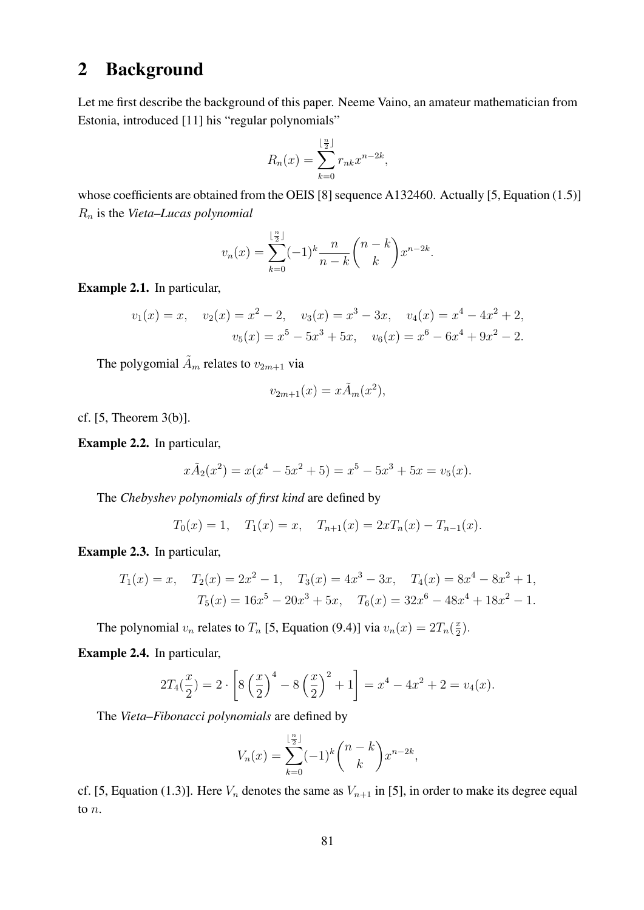### 2 Background

Let me first describe the background of this paper. Neeme Vaino, an amateur mathematician from Estonia, introduced [11] his "regular polynomials"

$$
R_n(x) = \sum_{k=0}^{\lfloor \frac{n}{2} \rfloor} r_{nk} x^{n-2k},
$$

whose coefficients are obtained from the OEIS [8] sequence A132460. Actually [5, Equation (1.5)] R<sup>n</sup> is the *Vieta–Lucas polynomial*

$$
v_n(x) = \sum_{k=0}^{\lfloor \frac{n}{2} \rfloor} (-1)^k \frac{n}{n-k} {n-k \choose k} x^{n-2k}.
$$

Example 2.1. In particular,

$$
v_1(x) = x, \quad v_2(x) = x^2 - 2, \quad v_3(x) = x^3 - 3x, \quad v_4(x) = x^4 - 4x^2 + 2,
$$
  

$$
v_5(x) = x^5 - 5x^3 + 5x, \quad v_6(x) = x^6 - 6x^4 + 9x^2 - 2.
$$

The polygomial  $\tilde{A}_m$  relates to  $v_{2m+1}$  via

$$
v_{2m+1}(x) = x\tilde{A}_m(x^2),
$$

cf. [5, Theorem 3(b)].

Example 2.2. In particular,

$$
x\tilde{A}_2(x^2) = x(x^4 - 5x^2 + 5) = x^5 - 5x^3 + 5x = v_5(x).
$$

The *Chebyshev polynomials of first kind* are defined by

$$
T_0(x) = 1
$$
,  $T_1(x) = x$ ,  $T_{n+1}(x) = 2xT_n(x) - T_{n-1}(x)$ .

Example 2.3. In particular,

$$
T_1(x) = x, \quad T_2(x) = 2x^2 - 1, \quad T_3(x) = 4x^3 - 3x, \quad T_4(x) = 8x^4 - 8x^2 + 1,
$$

$$
T_5(x) = 16x^5 - 20x^3 + 5x, \quad T_6(x) = 32x^6 - 48x^4 + 18x^2 - 1.
$$

The polynomial  $v_n$  relates to  $T_n$  [5, Equation (9.4)] via  $v_n(x) = 2T_n(\frac{x}{2})$  $\frac{x}{2}$ .

Example 2.4. In particular,

$$
2T_4(\frac{x}{2}) = 2 \cdot \left[ 8\left(\frac{x}{2}\right)^4 - 8\left(\frac{x}{2}\right)^2 + 1 \right] = x^4 - 4x^2 + 2 = v_4(x).
$$

The *Vieta–Fibonacci polynomials* are defined by

$$
V_n(x) = \sum_{k=0}^{\lfloor \frac{n}{2} \rfloor} (-1)^k {n-k \choose k} x^{n-2k},
$$

cf. [5, Equation (1.3)]. Here  $V_n$  denotes the same as  $V_{n+1}$  in [5], in order to make its degree equal to n.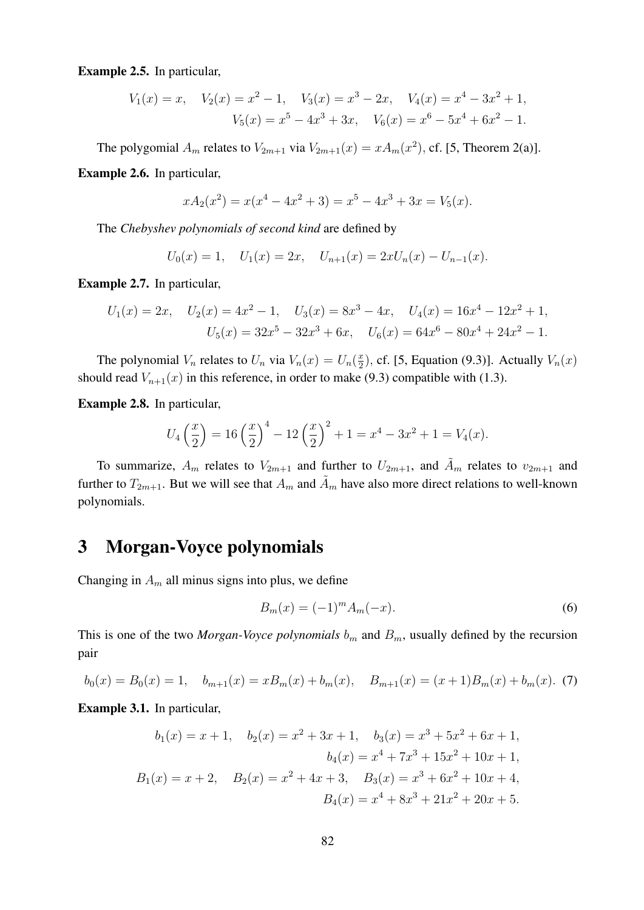Example 2.5. In particular,

$$
V_1(x) = x, \quad V_2(x) = x^2 - 1, \quad V_3(x) = x^3 - 2x, \quad V_4(x) = x^4 - 3x^2 + 1,
$$

$$
V_5(x) = x^5 - 4x^3 + 3x, \quad V_6(x) = x^6 - 5x^4 + 6x^2 - 1.
$$

The polygomial  $A_m$  relates to  $V_{2m+1}$  via  $V_{2m+1}(x) = xA_m(x^2)$ , cf. [5, Theorem 2(a)].

Example 2.6. In particular,

$$
xA_2(x^2) = x(x^4 - 4x^2 + 3) = x^5 - 4x^3 + 3x = V_5(x).
$$

The *Chebyshev polynomials of second kind* are defined by

$$
U_0(x) = 1, \quad U_1(x) = 2x, \quad U_{n+1}(x) = 2xU_n(x) - U_{n-1}(x).
$$

Example 2.7. In particular,

$$
U_1(x) = 2x, \quad U_2(x) = 4x^2 - 1, \quad U_3(x) = 8x^3 - 4x, \quad U_4(x) = 16x^4 - 12x^2 + 1,
$$

$$
U_5(x) = 32x^5 - 32x^3 + 6x, \quad U_6(x) = 64x^6 - 80x^4 + 24x^2 - 1.
$$

The polynomial  $V_n$  relates to  $U_n$  via  $V_n(x) = U_n(\frac{x}{2})$  $(\frac{x}{2})$ , cf. [5, Equation (9.3)]. Actually  $V_n(x)$ should read  $V_{n+1}(x)$  in this reference, in order to make (9.3) compatible with (1.3).

Example 2.8. In particular,

$$
U_4\left(\frac{x}{2}\right) = 16\left(\frac{x}{2}\right)^4 - 12\left(\frac{x}{2}\right)^2 + 1 = x^4 - 3x^2 + 1 = V_4(x).
$$

To summarize,  $A_m$  relates to  $V_{2m+1}$  and further to  $U_{2m+1}$ , and  $\tilde{A}_m$  relates to  $v_{2m+1}$  and further to  $T_{2m+1}$ . But we will see that  $A_m$  and  $\tilde{A}_m$  have also more direct relations to well-known polynomials.

### 3 Morgan-Voyce polynomials

Changing in  $A_m$  all minus signs into plus, we define

$$
B_m(x) = (-1)^m A_m(-x).
$$
 (6)

This is one of the two *Morgan-Voyce polynomials*  $b<sub>m</sub>$  and  $B<sub>m</sub>$ , usually defined by the recursion pair

$$
b_0(x) = B_0(x) = 1, \quad b_{m+1}(x) = xB_m(x) + b_m(x), \quad B_{m+1}(x) = (x+1)B_m(x) + b_m(x). \tag{7}
$$

Example 3.1. In particular,

$$
b_1(x) = x + 1, \quad b_2(x) = x^2 + 3x + 1, \quad b_3(x) = x^3 + 5x^2 + 6x + 1,
$$
  
\n
$$
b_4(x) = x^4 + 7x^3 + 15x^2 + 10x + 1,
$$
  
\n
$$
B_1(x) = x + 2, \quad B_2(x) = x^2 + 4x + 3, \quad B_3(x) = x^3 + 6x^2 + 10x + 4,
$$
  
\n
$$
B_4(x) = x^4 + 8x^3 + 21x^2 + 20x + 5.
$$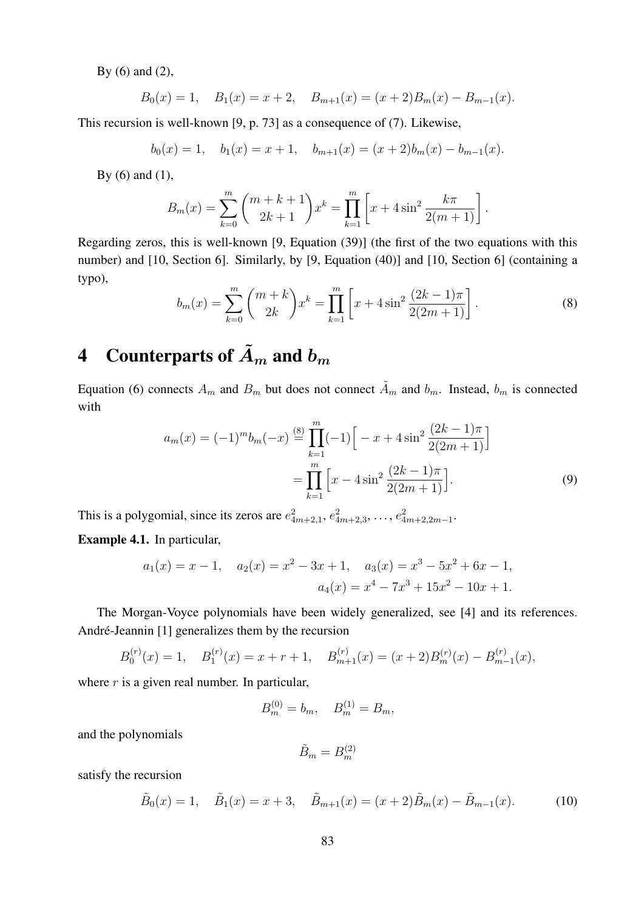By (6) and (2),

$$
B_0(x) = 1
$$
,  $B_1(x) = x + 2$ ,  $B_{m+1}(x) = (x + 2)B_m(x) - B_{m-1}(x)$ .

This recursion is well-known [9, p. 73] as a consequence of (7). Likewise,

$$
b_0(x) = 1
$$
,  $b_1(x) = x + 1$ ,  $b_{m+1}(x) = (x + 2)b_m(x) - b_{m-1}(x)$ .

By  $(6)$  and  $(1)$ ,

$$
B_m(x) = \sum_{k=0}^m {m+k+1 \choose 2k+1} x^k = \prod_{k=1}^m \left[ x + 4\sin^2 \frac{k\pi}{2(m+1)} \right].
$$

Regarding zeros, this is well-known [9, Equation (39)] (the first of the two equations with this number) and [10, Section 6]. Similarly, by [9, Equation (40)] and [10, Section 6] (containing a typo),

$$
b_m(x) = \sum_{k=0}^{m} {m+k \choose 2k} x^k = \prod_{k=1}^{m} \left[ x + 4\sin^2 \frac{(2k-1)\pi}{2(2m+1)} \right].
$$
 (8)

# 4 Counterparts of  $\tilde{A}_m$  and  $b_m$

Equation (6) connects  $A_m$  and  $B_m$  but does not connect  $\tilde{A}_m$  and  $b_m$ . Instead,  $b_m$  is connected with

$$
a_m(x) = (-1)^m b_m(-x) \stackrel{\text{(8)}}{=} \prod_{k=1}^m (-1) \Big[ -x + 4 \sin^2 \frac{(2k-1)\pi}{2(2m+1)} \Big]
$$

$$
= \prod_{k=1}^m \Big[ x - 4 \sin^2 \frac{(2k-1)\pi}{2(2m+1)} \Big]. \tag{9}
$$

This is a polygomial, since its zeros are  $e_{4m+2,1}^2$ ,  $e_{4m+2,3}^2$ , ...,  $e_{4m+2,2m-1}^2$ .

Example 4.1. In particular,

$$
a_1(x) = x - 1
$$
,  $a_2(x) = x^2 - 3x + 1$ ,  $a_3(x) = x^3 - 5x^2 + 6x - 1$ ,  
 $a_4(x) = x^4 - 7x^3 + 15x^2 - 10x + 1$ .

The Morgan-Voyce polynomials have been widely generalized, see [4] and its references. André-Jeannin [1] generalizes them by the recursion

$$
B_0^{(r)}(x) = 1, \quad B_1^{(r)}(x) = x + r + 1, \quad B_{m+1}^{(r)}(x) = (x+2)B_m^{(r)}(x) - B_{m-1}^{(r)}(x),
$$

where  $r$  is a given real number. In particular,

$$
B_m^{(0)} = b_m, \quad B_m^{(1)} = B_m,
$$

and the polynomials

$$
\tilde{B}_m=B_m^{(2)}
$$

satisfy the recursion

$$
\tilde{B}_0(x) = 1, \quad \tilde{B}_1(x) = x + 3, \quad \tilde{B}_{m+1}(x) = (x+2)\tilde{B}_m(x) - \tilde{B}_{m-1}(x). \tag{10}
$$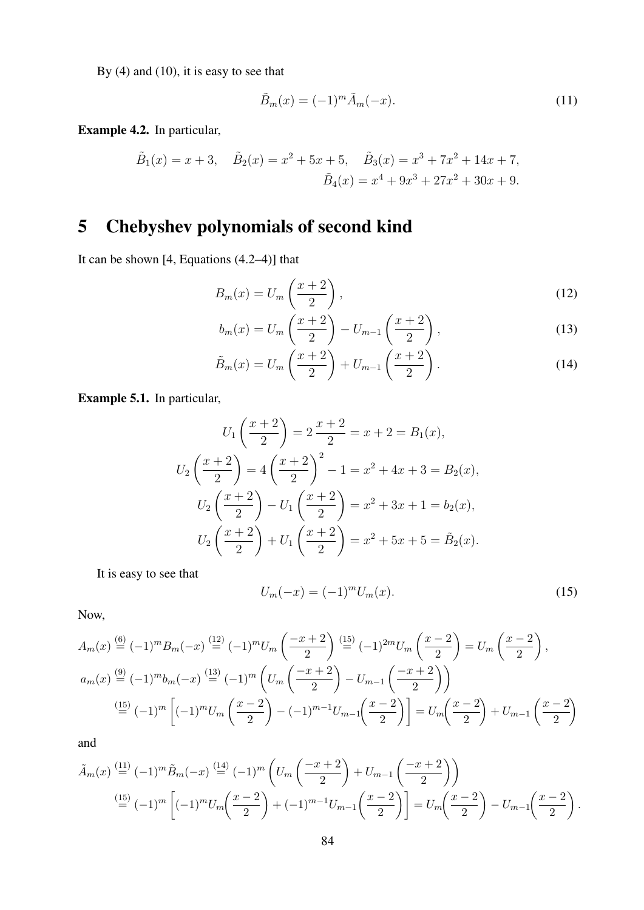By (4) and (10), it is easy to see that

$$
\tilde{B}_m(x) = (-1)^m \tilde{A}_m(-x). \tag{11}
$$

Example 4.2. In particular,

$$
\tilde{B}_1(x) = x + 3
$$
,  $\tilde{B}_2(x) = x^2 + 5x + 5$ ,  $\tilde{B}_3(x) = x^3 + 7x^2 + 14x + 7$ ,  
\n $\tilde{B}_4(x) = x^4 + 9x^3 + 27x^2 + 30x + 9$ .

## 5 Chebyshev polynomials of second kind

It can be shown [4, Equations (4.2–4)] that

$$
B_m(x) = U_m\left(\frac{x+2}{2}\right),\tag{12}
$$

$$
b_m(x) = U_m\left(\frac{x+2}{2}\right) - U_{m-1}\left(\frac{x+2}{2}\right),
$$
\n(13)

$$
\tilde{B}_m(x) = U_m\left(\frac{x+2}{2}\right) + U_{m-1}\left(\frac{x+2}{2}\right). \tag{14}
$$

Example 5.1. In particular,

$$
U_1\left(\frac{x+2}{2}\right) = 2\frac{x+2}{2} = x+2 = B_1(x),
$$
  
\n
$$
U_2\left(\frac{x+2}{2}\right) = 4\left(\frac{x+2}{2}\right)^2 - 1 = x^2 + 4x + 3 = B_2(x),
$$
  
\n
$$
U_2\left(\frac{x+2}{2}\right) - U_1\left(\frac{x+2}{2}\right) = x^2 + 3x + 1 = b_2(x),
$$
  
\n
$$
U_2\left(\frac{x+2}{2}\right) + U_1\left(\frac{x+2}{2}\right) = x^2 + 5x + 5 = \tilde{B}_2(x).
$$

It is easy to see that

$$
U_m(-x) = (-1)^m U_m(x). \tag{15}
$$

Now,

$$
A_m(x) \stackrel{(6)}{=} (-1)^m B_m(-x) \stackrel{(12)}{=} (-1)^m U_m\left(\frac{-x+2}{2}\right) \stackrel{(15)}{=} (-1)^{2m} U_m\left(\frac{x-2}{2}\right) = U_m\left(\frac{x-2}{2}\right),
$$
  
\n
$$
a_m(x) \stackrel{(9)}{=} (-1)^m b_m(-x) \stackrel{(13)}{=} (-1)^m \left(U_m\left(\frac{-x+2}{2}\right) - U_{m-1}\left(\frac{-x+2}{2}\right)\right)
$$
  
\n
$$
\stackrel{(15)}{=} (-1)^m \left[ (-1)^m U_m\left(\frac{x-2}{2}\right) - (-1)^{m-1} U_{m-1}\left(\frac{x-2}{2}\right) \right] = U_m\left(\frac{x-2}{2}\right) + U_{m-1}\left(\frac{x-2}{2}\right)
$$

and

$$
\tilde{A}_{m}(x) \stackrel{\text{(11)}}{=} (-1)^{m} \tilde{B}_{m}(-x) \stackrel{\text{(14)}}{=} (-1)^{m} \left( U_{m} \left( \frac{-x+2}{2} \right) + U_{m-1} \left( \frac{-x+2}{2} \right) \right)
$$
\n
$$
\stackrel{\text{(15)}}{=} (-1)^{m} \left[ (-1)^{m} U_{m} \left( \frac{x-2}{2} \right) + (-1)^{m-1} U_{m-1} \left( \frac{x-2}{2} \right) \right] = U_{m} \left( \frac{x-2}{2} \right) - U_{m-1} \left( \frac{x-2}{2} \right).
$$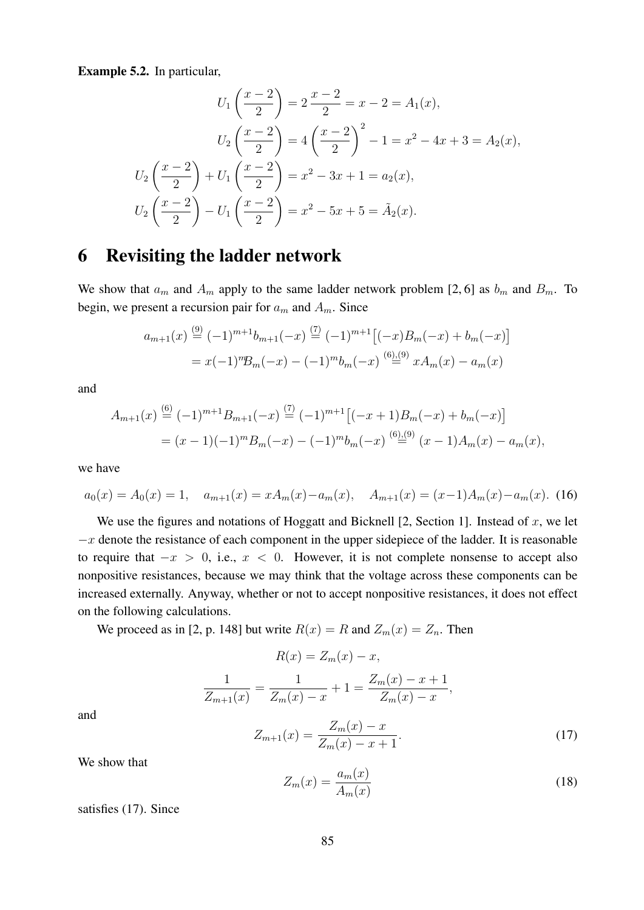Example 5.2. In particular,

$$
U_1\left(\frac{x-2}{2}\right) = 2\frac{x-2}{2} = x-2 = A_1(x),
$$
  
\n
$$
U_2\left(\frac{x-2}{2}\right) = 4\left(\frac{x-2}{2}\right)^2 - 1 = x^2 - 4x + 3 = A_2(x),
$$
  
\n
$$
U_2\left(\frac{x-2}{2}\right) + U_1\left(\frac{x-2}{2}\right) = x^2 - 3x + 1 = a_2(x),
$$
  
\n
$$
U_2\left(\frac{x-2}{2}\right) - U_1\left(\frac{x-2}{2}\right) = x^2 - 5x + 5 = \tilde{A}_2(x).
$$

### 6 Revisiting the ladder network

We show that  $a_m$  and  $A_m$  apply to the same ladder network problem [2, 6] as  $b_m$  and  $B_m$ . To begin, we present a recursion pair for  $a_m$  and  $A_m$ . Since

$$
a_{m+1}(x) \stackrel{(9)}{=} (-1)^{m+1} b_{m+1}(-x) \stackrel{(7)}{=} (-1)^{m+1} [(-x)B_m(-x) + b_m(-x)]
$$
  
=  $x(-1)^m B_m(-x) - (-1)^m b_m(-x) \stackrel{(6),(9)}{=} x A_m(x) - a_m(x)$ 

and

$$
A_{m+1}(x) \stackrel{(6)}{=} (-1)^{m+1} B_{m+1}(-x) \stackrel{(7)}{=} (-1)^{m+1} [(-x+1)B_m(-x) + b_m(-x)]
$$
  
=  $(x-1)(-1)^m B_m(-x) - (-1)^m b_m(-x) \stackrel{(6)(9)}{=} (x-1)A_m(x) - a_m(x),$ 

we have

$$
a_0(x) = A_0(x) = 1, \quad a_{m+1}(x) = xA_m(x) - a_m(x), \quad A_{m+1}(x) = (x-1)A_m(x) - a_m(x). \tag{16}
$$

We use the figures and notations of Hoggatt and Bicknell  $[2, Section 1]$ . Instead of x, we let  $-x$  denote the resistance of each component in the upper sidepiece of the ladder. It is reasonable to require that  $-x > 0$ , i.e.,  $x < 0$ . However, it is not complete nonsense to accept also nonpositive resistances, because we may think that the voltage across these components can be increased externally. Anyway, whether or not to accept nonpositive resistances, it does not effect on the following calculations.

We proceed as in [2, p. 148] but write  $R(x) = R$  and  $Z_m(x) = Z_n$ . Then

$$
R(x) = Z_m(x) - x,
$$
  
\n
$$
\frac{1}{Z_{m+1}(x)} = \frac{1}{Z_m(x) - x} + 1 = \frac{Z_m(x) - x + 1}{Z_m(x) - x},
$$
  
\n
$$
Z_{m+1}(x) = \frac{Z_m(x) - x}{Z_m(x) - x + 1}.
$$
\n(17)

and

$$
Z_m(x) = \frac{a_m(x)}{A_m(x)}\tag{18}
$$

satisfies (17). Since

We show that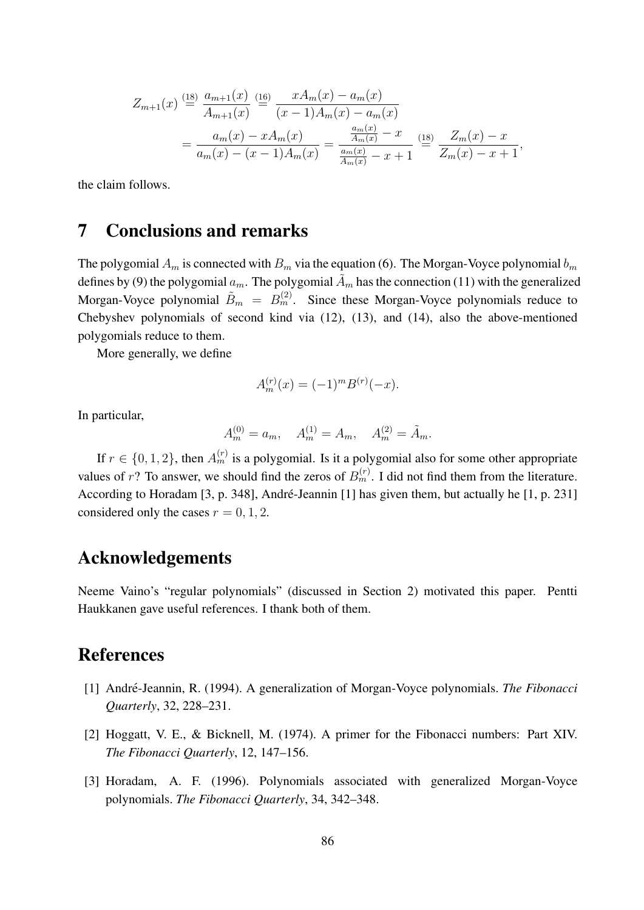$$
Z_{m+1}(x) \stackrel{\text{(18)}}{=} \frac{a_{m+1}(x)}{A_{m+1}(x)} \stackrel{\text{(16)}}{=} \frac{x A_m(x) - a_m(x)}{(x-1) A_m(x) - a_m(x)}
$$
  

$$
= \frac{a_m(x) - x A_m(x)}{a_m(x) - (x-1) A_m(x)} = \frac{\frac{a_m(x)}{A_m(x)} - x}{\frac{a_m(x)}{A_m(x)} - x + 1} \stackrel{\text{(18)}}{=} \frac{Z_m(x) - x}{Z_m(x) - x + 1},
$$

the claim follows.

### 7 Conclusions and remarks

The polygomial  $A_m$  is connected with  $B_m$  via the equation (6). The Morgan-Voyce polynomial  $b_m$ defines by (9) the polygomial  $a_m$ . The polygomial  $\tilde{A}_m$  has the connection (11) with the generalized Morgan-Voyce polynomial  $\tilde{B}_m = B_m^{(2)}$ . Since these Morgan-Voyce polynomials reduce to Chebyshev polynomials of second kind via (12), (13), and (14), also the above-mentioned polygomials reduce to them.

More generally, we define

$$
A_m^{(r)}(x) = (-1)^m B^{(r)}(-x).
$$

In particular,

$$
A_m^{(0)} = a_m, \quad A_m^{(1)} = A_m, \quad A_m^{(2)} = \tilde{A}_m.
$$

If  $r \in \{0, 1, 2\}$ , then  $A_m^{(r)}$  is a polygomial. Is it a polygomial also for some other appropriate values of r? To answer, we should find the zeros of  $B_m^{(r)}$ . I did not find them from the literature. According to Horadam [3, p. 348], André-Jeannin [1] has given them, but actually he [1, p. 231] considered only the cases  $r = 0, 1, 2$ .

#### Acknowledgements

Neeme Vaino's "regular polynomials" (discussed in Section 2) motivated this paper. Pentti Haukkanen gave useful references. I thank both of them.

#### References

- [1] Andre-Jeannin, R. (1994). A generalization of Morgan-Voyce polynomials. ´ *The Fibonacci Quarterly*, 32, 228–231.
- [2] Hoggatt, V. E., & Bicknell, M. (1974). A primer for the Fibonacci numbers: Part XIV. *The Fibonacci Quarterly*, 12, 147–156.
- [3] Horadam, A. F. (1996). Polynomials associated with generalized Morgan-Voyce polynomials. *The Fibonacci Quarterly*, 34, 342–348.